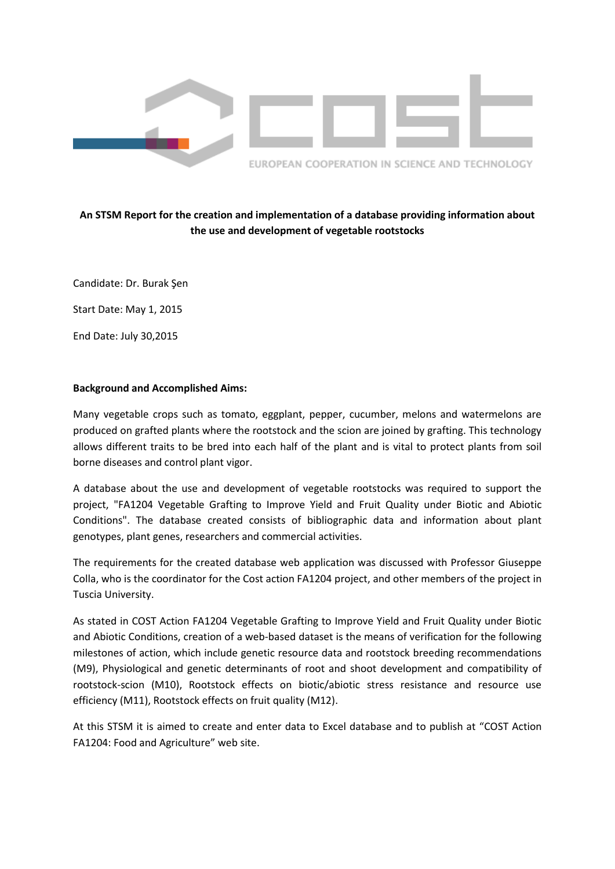

# **An STSM Report for the creation and implementation of a database providing information about the use and development of vegetable rootstocks**

Candidate: Dr. Burak Şen

Start Date: May 1, 2015

End Date: July 30,2015

# **Background and Accomplished Aims:**

Many vegetable crops such as tomato, eggplant, pepper, cucumber, melons and watermelons are produced on grafted plants where the rootstock and the scion are joined by grafting. This technology allows different traits to be bred into each half of the plant and is vital to protect plants from soil borne diseases and control plant vigor.

A database about the use and development of vegetable rootstocks was required to support the project, "FA1204 Vegetable Grafting to Improve Yield and Fruit Quality under Biotic and Abiotic Conditions". The database created consists of bibliographic data and information about plant genotypes, plant genes, researchers and commercial activities.

The requirements for the created database web application was discussed with Professor Giuseppe Colla, who is the coordinator for the Cost action FA1204 project, and other members of the project in Tuscia University.

As stated in COST Action FA1204 Vegetable Grafting to Improve Yield and Fruit Quality under Biotic and Abiotic Conditions, creation of a web-based dataset is the means of verification for the following milestones of action, which include genetic resource data and rootstock breeding recommendations (M9), Physiological and genetic determinants of root and shoot development and compatibility of rootstock-scion (M10), Rootstock effects on biotic/abiotic stress resistance and resource use efficiency (M11), Rootstock effects on fruit quality (M12).

At this STSM it is aimed to create and enter data to Excel database and to publish at "COST Action FA1204: Food and Agriculture" web site.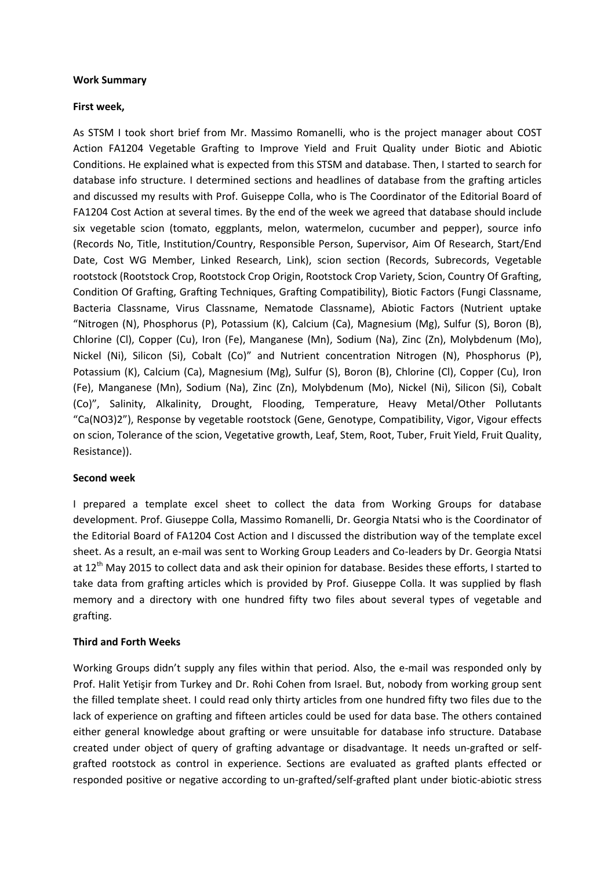#### **Work Summary**

#### **First week,**

As STSM I took short brief from Mr. Massimo Romanelli, who is the project manager about COST Action FA1204 Vegetable Grafting to Improve Yield and Fruit Quality under Biotic and Abiotic Conditions. He explained what is expected from this STSM and database. Then, I started to search for database info structure. I determined sections and headlines of database from the grafting articles and discussed my results with Prof. Guiseppe Colla, who is The Coordinator of the Editorial Board of FA1204 Cost Action at several times. By the end of the week we agreed that database should include six vegetable scion (tomato, eggplants, melon, watermelon, cucumber and pepper), source info (Records No, Title, Institution/Country, Responsible Person, Supervisor, Aim Of Research, Start/End Date, Cost WG Member, Linked Research, Link), scion section (Records, Subrecords, Vegetable rootstock (Rootstock Crop, Rootstock Crop Origin, Rootstock Crop Variety, Scion, Country Of Grafting, Condition Of Grafting, Grafting Techniques, Grafting Compatibility), Biotic Factors (Fungi Classname, Bacteria Classname, Virus Classname, Nematode Classname), Abiotic Factors (Nutrient uptake "Nitrogen (N), Phosphorus (P), Potassium (K), Calcium (Ca), Magnesium (Mg), Sulfur (S), Boron (B), Chlorine (Cl), Copper (Cu), Iron (Fe), Manganese (Mn), Sodium (Na), Zinc (Zn), Molybdenum (Mo), Nickel (Ni), Silicon (Si), Cobalt (Co)" and Nutrient concentration Nitrogen (N), Phosphorus (P), Potassium (K), Calcium (Ca), Magnesium (Mg), Sulfur (S), Boron (B), Chlorine (Cl), Copper (Cu), Iron (Fe), Manganese (Mn), Sodium (Na), Zinc (Zn), Molybdenum (Mo), Nickel (Ni), Silicon (Si), Cobalt (Co)", Salinity, Alkalinity, Drought, Flooding, Temperature, Heavy Metal/Other Pollutants "Ca(NO3)2"), Response by vegetable rootstock (Gene, Genotype, Compatibility, Vigor, Vigour effects on scion, Tolerance of the scion, Vegetative growth, Leaf, Stem, Root, Tuber, Fruit Yield, Fruit Quality, Resistance)).

# **Second week**

I prepared a template excel sheet to collect the data from Working Groups for database development. Prof. Giuseppe Colla, Massimo Romanelli, Dr. Georgia Ntatsi who is the Coordinator of the Editorial Board of FA1204 Cost Action and I discussed the distribution way of the template excel sheet. As a result, an e-mail was sent to Working Group Leaders and Co-leaders by Dr. Georgia Ntatsi at 12<sup>th</sup> May 2015 to collect data and ask their opinion for database. Besides these efforts, I started to take data from grafting articles which is provided by Prof. Giuseppe Colla. It was supplied by flash memory and a directory with one hundred fifty two files about several types of vegetable and grafting.

# **Third and Forth Weeks**

Working Groups didn't supply any files within that period. Also, the e-mail was responded only by Prof. Halit Yetişir from Turkey and Dr. Rohi Cohen from Israel. But, nobody from working group sent the filled template sheet. I could read only thirty articles from one hundred fifty two files due to the lack of experience on grafting and fifteen articles could be used for data base. The others contained either general knowledge about grafting or were unsuitable for database info structure. Database created under object of query of grafting advantage or disadvantage. It needs un-grafted or selfgrafted rootstock as control in experience. Sections are evaluated as grafted plants effected or responded positive or negative according to un-grafted/self-grafted plant under biotic-abiotic stress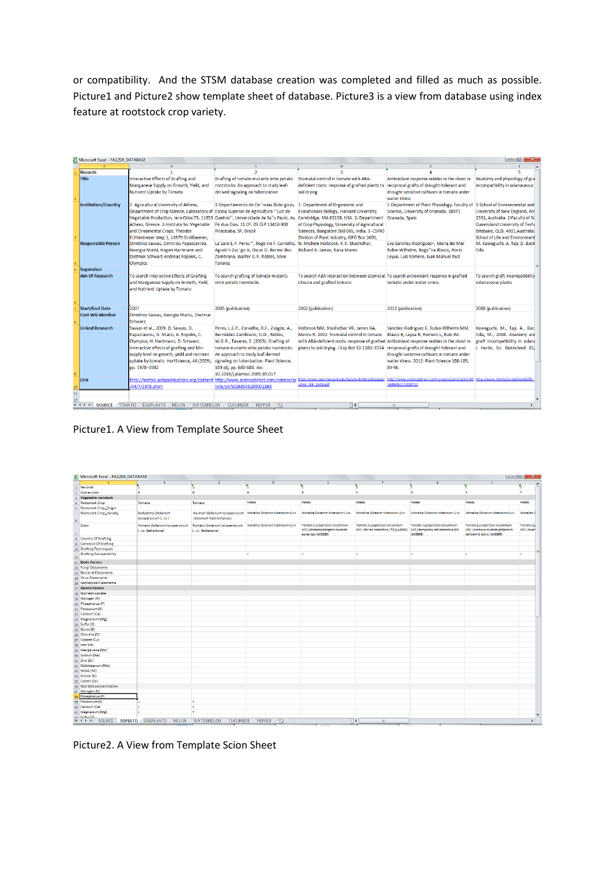or compatibility. And the STSM database creation was completed and filled as much as possible. Picture1 and Picture2 show template sheet of database. Picture3 is a view from database using index feature at rootstock crop variety.

|                 | Microsoft Excel - FA1204_DATABASE |                                                                         |                                                                                   |                                                                                                                                       |                                                     | $\Box$ 0                          |  |
|-----------------|-----------------------------------|-------------------------------------------------------------------------|-----------------------------------------------------------------------------------|---------------------------------------------------------------------------------------------------------------------------------------|-----------------------------------------------------|-----------------------------------|--|
|                 |                                   |                                                                         | c.                                                                                | D.                                                                                                                                    | E                                                   |                                   |  |
|                 | <b>Records</b>                    |                                                                         | $\overline{2}$                                                                    |                                                                                                                                       |                                                     |                                   |  |
|                 | <b>Title</b>                      | Interactive Effects of Grafting and                                     | Grafting of tomato mutants onto potato                                            | Stomatal control in tomato with ABA-                                                                                                  | Antioxidant response resides in the shoot in        | Anatomy and physiology of gra     |  |
|                 |                                   | Manganese Supply on Growth, Yield, and                                  | rootstocks: An approach to study leaf-                                            | deficient roots: response of grafted plants to                                                                                        | reciprocal grafts of drought-tolerant and           | incompatibility in solanaceous    |  |
|                 |                                   | Nutrient Uptake by Tomato                                               | derived signaling on tuberization                                                 | soil drying                                                                                                                           | drought-sensitive cultivars in tomato under         |                                   |  |
|                 |                                   |                                                                         |                                                                                   |                                                                                                                                       | water stress                                        |                                   |  |
|                 | <b>Institution/Country</b>        | 1- Agricultural University of Athens,                                   | 1-Departamento de Cie^ncias Biolo'gicas, 1- Department of Organismic and          |                                                                                                                                       | 1-Department of Plant Physiology, Faculty of        | 1-School of Environmental and     |  |
|                 |                                   | Department of Crop Science, Laboratory of                               | Escola Superior de Agricultura "Luiz de                                           | Evolutionary Biology, Harvard University,                                                                                             | Science, University of Granada, 18071               | University of New England, Arr    |  |
|                 |                                   | Vegetable Production, Iera Odos 75, 11855                               |                                                                                   | Queiroz", Universidade de Sa"o Paulo, Av. Cambridge, MA 02138, USA. 2- Department Granada, Spain                                      |                                                     | 2351, Australia. 2-Faculty of Sc  |  |
|                 |                                   | Athens, Greece. 2-Institute for Vegetable                               | Pa'dua Dias, 11 CP. 09 CEP 13418-900                                              | of Crop Physiology, University of Agricultural                                                                                        |                                                     | Queensland University of Tech     |  |
|                 |                                   | and Ornamental Crops, Theodor                                           | Piracicaba, SP, Brazil                                                            | Sciences, Bangalore 560 065, India. 3- CSIRO                                                                                          |                                                     | Brisbane, QLD, 4001, Australia.   |  |
|                 |                                   | Echtermeyer Weg 1, 14979 Großbeeren,                                    |                                                                                   | Division of Plant Industry, GPO Box 1600,                                                                                             |                                                     | School of Life and Environment    |  |
|                 | <b>Responsible Person</b>         | Dimitrios Savvas, Dimitrios Papastavrou,                                | La'zaro E.P. Peres *, Roge'rio F. Carvalho, N. Michele Holbrook, V.R. Shashidhar, |                                                                                                                                       | Eva Sánchez-Rodríguez*, María del Mar               | M. Kawaguchi, A. Taji, D. Back    |  |
|                 |                                   | Georgia Ntatsi, Hagen Hartmann and                                      | Agusti'n Zso"go"n, Oscar D. Bermu'dez-                                            | Richard A. James, Rana Munns                                                                                                          | Rubio-Wilhelmi, Bego"na Blasco, Rocío               | Oda                               |  |
|                 |                                   | Dietmar Schwarz Andreas Ropokis, C.                                     | Zambrano, Walter G.R. Robles, Silvio                                              |                                                                                                                                       | Levya, Luis Romero, Juan Manuel Ruiz                |                                   |  |
|                 |                                   | Olympios                                                                | <b>Tavares</b>                                                                    |                                                                                                                                       |                                                     |                                   |  |
|                 | Supervisor                        |                                                                         |                                                                                   |                                                                                                                                       |                                                     |                                   |  |
|                 | <b>Aim Of Research</b>            | To search Interactive Effects of Grafting                               | To search grafting of tomato mutants                                              | To search ABA interaction between stomatal To search antioxidant response in grafted                                                  |                                                     | To search graft incompatibility   |  |
|                 |                                   |                                                                         | onto potato rootstocks                                                            |                                                                                                                                       | tomato under water stress.                          | solanaceous plants                |  |
|                 |                                   | and Manganese Supply on Growth, Yield,<br>and Nutrient Uptake by Tomato |                                                                                   | closure and grafted tomato                                                                                                            |                                                     |                                   |  |
|                 |                                   |                                                                         |                                                                                   |                                                                                                                                       |                                                     |                                   |  |
|                 |                                   |                                                                         |                                                                                   |                                                                                                                                       |                                                     |                                   |  |
|                 | <b>Start/End Date</b>             | 2007                                                                    | 2005 (publication)                                                                | 2002 (publication)                                                                                                                    | 2012 (publication)                                  | 2008 (publication)                |  |
|                 | <b>Cost WG Member</b>             | Dimitrios Savvas, Georgia Ntatsi, Dietmar                               |                                                                                   |                                                                                                                                       |                                                     |                                   |  |
|                 |                                   | Schwarz                                                                 |                                                                                   |                                                                                                                                       |                                                     |                                   |  |
|                 | <b>Linked Research</b>            | Savvas et al., 2009. D. Savvas, D.                                      | Peres, L.E.P., Carvalho, R.F., Zsögön, A.,                                        | Holbrook NM, Shashidhar VR, James RA,                                                                                                 | Sánchez-Rodríguez E, Rubio-Wilhelmi MM,             | Kawaguchi, M., Taji, A., Bac      |  |
|                 |                                   | Papastavrou, G. Ntatsi, A. Ropokis, C.                                  | Bermúdez-Zambrano, O.D., Robles,                                                  | Munns R. 2002. Stomatal control in tomato                                                                                             | Blasco B, Leyva R, Romero L, Ruiz JM.               | Oda, M., 2008. Anatomy and        |  |
|                 |                                   | Olympios, H. Hartmann, D. Schwarz.                                      | W.G.R., Tavares, S. (2005). Grafting of                                           | with ABA-deficient roots: response of grafted Antioxidant response resides in the shoot in                                            |                                                     | graft incompatibility in soland   |  |
|                 |                                   | Interactive effects of grafting and Mn-                                 | tomato mutants onto potato rootstocks:                                            | plants to soil drying. J Exp Bot 53:1503-1514                                                                                         | reciprocal grafts of drought-tolerant and           | J. Hortic, Sci. Biotechnol, 83.   |  |
|                 |                                   | supply level on growth, yield and nutrient                              | An approach to study leaf-derived                                                 |                                                                                                                                       | drought-sensitive cultivars in tomato under         |                                   |  |
|                 |                                   | uptake by tomato. HortScience, 44 (2009),                               | signaling on tuberization. Plant Science,                                         |                                                                                                                                       | water stress, 2012. Plant Science 188-189.          |                                   |  |
|                 |                                   |                                                                         |                                                                                   |                                                                                                                                       |                                                     |                                   |  |
|                 |                                   | pp. 1978-1982                                                           | 169 (4), pp. 680-688. doi:                                                        |                                                                                                                                       | 89-96.                                              |                                   |  |
|                 | Link                              |                                                                         | 10.1016/i.plantsci.2005.05.017                                                    | http://hortsci.ashspublications.org/content http://www.sciencedirect.com/science/ar http://www.oeb.harvard.edu/faculty/holbrook/paper | http://www.sciencedirect.com/science/article/pii/SO | http://www.ihortscib.org/Vol83/83 |  |
|                 |                                   |                                                                         |                                                                                   | s/hol JEB 1503.pdf                                                                                                                    | 168945211003712                                     |                                   |  |
|                 |                                   | /44/7/1978.short                                                        | ticle/pii/S016894520500186X                                                       |                                                                                                                                       |                                                     |                                   |  |
| 11 <sub>1</sub> |                                   |                                                                         |                                                                                   |                                                                                                                                       |                                                     |                                   |  |
|                 | <b>EGGPLANTS</b>                  | MELON / WATERMELON                                                      | <b>CUCUMBER</b><br>PEPPER<br>१⊐                                                   | $   \cdot   $                                                                                                                         | HH.                                                 |                                   |  |
|                 |                                   |                                                                         |                                                                                   |                                                                                                                                       |                                                     |                                   |  |

Picture1. A View from Template Source Sheet

| <b>X</b> Microsoft Excel - FA1204_DATABASE                                                                                                                                                                                                                                                                                                                                                                                                                                        |                                                   |                                                         |                                    |                                                                                           |                                                                              |                                                                                       | $= 101$                                                                                               | $\mathbf{x}$              |
|-----------------------------------------------------------------------------------------------------------------------------------------------------------------------------------------------------------------------------------------------------------------------------------------------------------------------------------------------------------------------------------------------------------------------------------------------------------------------------------|---------------------------------------------------|---------------------------------------------------------|------------------------------------|-------------------------------------------------------------------------------------------|------------------------------------------------------------------------------|---------------------------------------------------------------------------------------|-------------------------------------------------------------------------------------------------------|---------------------------|
|                                                                                                                                                                                                                                                                                                                                                                                                                                                                                   | $\mathbf{R}$                                      | $\mathbb{C}$                                            | n                                  |                                                                                           |                                                                              | $\mathbf{G}$                                                                          |                                                                                                       |                           |
| Records                                                                                                                                                                                                                                                                                                                                                                                                                                                                           |                                                   | ъ                                                       | 5                                  | 5                                                                                         | 5                                                                            | 5                                                                                     | 5                                                                                                     | 5.                        |
| Subrecords                                                                                                                                                                                                                                                                                                                                                                                                                                                                        | A                                                 | $\overline{B}$                                          | <b>A</b>                           | B.                                                                                        | <b>c</b>                                                                     | Þ                                                                                     | ×.                                                                                                    | F.                        |
| <b>3</b> Vegetable rootstock                                                                                                                                                                                                                                                                                                                                                                                                                                                      |                                                   |                                                         |                                    |                                                                                           |                                                                              |                                                                                       |                                                                                                       |                           |
| <b>Rootstock Crop</b>                                                                                                                                                                                                                                                                                                                                                                                                                                                             | Tomato                                            | Tomato                                                  | Potato                             | Potato                                                                                    | Potato                                                                       | Potato                                                                                | Potato                                                                                                | Potato                    |
| <b>Rootstock Crop_Origin</b>                                                                                                                                                                                                                                                                                                                                                                                                                                                      |                                                   |                                                         |                                    |                                                                                           |                                                                              |                                                                                       |                                                                                                       |                           |
| <b>Rootstock Crop Variety</b><br>$\mathbf{6}^-$                                                                                                                                                                                                                                                                                                                                                                                                                                   | Belladona (Solanum<br>Iycopersicum L. cv.)        | He-man (Solanum lycopersicum<br>· Solanum habrochaites) | Monalisa (Solanum tuberosum L) cv. | Monalisa (Solanum tuberosum L) cv.                                                        | Monalisa (Solanum tuberosum L) cv.                                           | Monalisa (Solanum tuberosum L) cv.                                                    | Monalisa (Solanum tuberosum L) cv.                                                                    | Monalisa (                |
| Scion                                                                                                                                                                                                                                                                                                                                                                                                                                                                             | Tomato (Solanum lycopersicum<br>L. cv. Belladona) | Tomato (Solanum lycopersicum<br>L. cv. Belladona)       | Monalisa (Solanum tuberosum L) cv. | Tomato (Lycopersicon esculentum<br>Mill.) photomorphogenic mutants<br>aurea (au) (LA3280) | Tomato (Lycopersicon esculentum<br>Mill.) far red insensitive (fri) (LA3809) | Tomato (Lycopersicon esculentum<br>Mill.) temporary red insensitive (tri)<br>(LA3808) | Tomato (Lycopersicon esculentum<br>Mill.) hormone mutants gibberellin<br>deficient-1 (gib-1) (LA2893) | Tomato (Ly<br>Mill.) dwar |
| Country Of Grafting<br>$\overline{\mathbf{8}}$                                                                                                                                                                                                                                                                                                                                                                                                                                    |                                                   |                                                         |                                    |                                                                                           |                                                                              |                                                                                       |                                                                                                       |                           |
| <b>Contition Of Grafting</b>                                                                                                                                                                                                                                                                                                                                                                                                                                                      |                                                   |                                                         |                                    |                                                                                           |                                                                              |                                                                                       |                                                                                                       |                           |
| 10 Grafting Techniques                                                                                                                                                                                                                                                                                                                                                                                                                                                            |                                                   |                                                         |                                    |                                                                                           |                                                                              |                                                                                       |                                                                                                       |                           |
| <b>Grafting Compatibility</b><br>11                                                                                                                                                                                                                                                                                                                                                                                                                                               |                                                   |                                                         |                                    | ٠                                                                                         |                                                                              |                                                                                       | l 4                                                                                                   | ٠                         |
| 12 Biotic Factors                                                                                                                                                                                                                                                                                                                                                                                                                                                                 |                                                   |                                                         |                                    |                                                                                           |                                                                              |                                                                                       |                                                                                                       |                           |
| 13 Fungi Classname                                                                                                                                                                                                                                                                                                                                                                                                                                                                |                                                   |                                                         |                                    |                                                                                           |                                                                              |                                                                                       |                                                                                                       |                           |
| 14 Bacteria Classname                                                                                                                                                                                                                                                                                                                                                                                                                                                             |                                                   |                                                         |                                    |                                                                                           |                                                                              |                                                                                       |                                                                                                       |                           |
| 15 Virus Classname                                                                                                                                                                                                                                                                                                                                                                                                                                                                |                                                   |                                                         |                                    |                                                                                           |                                                                              |                                                                                       |                                                                                                       |                           |
| 16 Nematode Classname                                                                                                                                                                                                                                                                                                                                                                                                                                                             |                                                   |                                                         |                                    |                                                                                           |                                                                              |                                                                                       |                                                                                                       |                           |
| 17 Abiotic Factors                                                                                                                                                                                                                                                                                                                                                                                                                                                                |                                                   |                                                         |                                    |                                                                                           |                                                                              |                                                                                       |                                                                                                       |                           |
| 18 Nutrient uptake                                                                                                                                                                                                                                                                                                                                                                                                                                                                |                                                   |                                                         |                                    |                                                                                           |                                                                              |                                                                                       |                                                                                                       |                           |
| 19 Nitrogen (N)                                                                                                                                                                                                                                                                                                                                                                                                                                                                   |                                                   |                                                         |                                    |                                                                                           |                                                                              |                                                                                       |                                                                                                       |                           |
| 20 Phosphorus (P)                                                                                                                                                                                                                                                                                                                                                                                                                                                                 |                                                   |                                                         |                                    |                                                                                           |                                                                              |                                                                                       |                                                                                                       |                           |
| 21 Potassium (K)                                                                                                                                                                                                                                                                                                                                                                                                                                                                  |                                                   |                                                         |                                    |                                                                                           |                                                                              |                                                                                       |                                                                                                       |                           |
| 22 Calcium (Ca)                                                                                                                                                                                                                                                                                                                                                                                                                                                                   |                                                   |                                                         |                                    |                                                                                           |                                                                              |                                                                                       |                                                                                                       |                           |
| 23 Magnesium (Mg)                                                                                                                                                                                                                                                                                                                                                                                                                                                                 |                                                   |                                                         |                                    |                                                                                           |                                                                              |                                                                                       |                                                                                                       |                           |
| 24 Sulfur (S)                                                                                                                                                                                                                                                                                                                                                                                                                                                                     |                                                   |                                                         |                                    |                                                                                           |                                                                              |                                                                                       |                                                                                                       |                           |
| 25 Boron (B)                                                                                                                                                                                                                                                                                                                                                                                                                                                                      |                                                   |                                                         |                                    |                                                                                           |                                                                              |                                                                                       |                                                                                                       |                           |
| 26 Chlorine (CI)                                                                                                                                                                                                                                                                                                                                                                                                                                                                  |                                                   |                                                         |                                    |                                                                                           |                                                                              |                                                                                       |                                                                                                       |                           |
| 27 Copper (Cu)                                                                                                                                                                                                                                                                                                                                                                                                                                                                    |                                                   |                                                         |                                    |                                                                                           |                                                                              |                                                                                       |                                                                                                       |                           |
| 28 Iron (Fe)                                                                                                                                                                                                                                                                                                                                                                                                                                                                      |                                                   |                                                         |                                    |                                                                                           |                                                                              |                                                                                       |                                                                                                       |                           |
| 29 Manganese (Mn)                                                                                                                                                                                                                                                                                                                                                                                                                                                                 |                                                   |                                                         |                                    |                                                                                           |                                                                              |                                                                                       |                                                                                                       |                           |
| 30 Sodium (Na)                                                                                                                                                                                                                                                                                                                                                                                                                                                                    |                                                   |                                                         |                                    |                                                                                           |                                                                              |                                                                                       |                                                                                                       |                           |
| 31 Zinc (Zn)                                                                                                                                                                                                                                                                                                                                                                                                                                                                      |                                                   |                                                         |                                    |                                                                                           |                                                                              |                                                                                       |                                                                                                       |                           |
| 32 Molybdenum (Mo)                                                                                                                                                                                                                                                                                                                                                                                                                                                                |                                                   |                                                         |                                    |                                                                                           |                                                                              |                                                                                       |                                                                                                       |                           |
| 33 Nickel (Ni)                                                                                                                                                                                                                                                                                                                                                                                                                                                                    |                                                   |                                                         |                                    |                                                                                           |                                                                              |                                                                                       |                                                                                                       |                           |
| 34 Silicon (Si)                                                                                                                                                                                                                                                                                                                                                                                                                                                                   |                                                   |                                                         |                                    |                                                                                           |                                                                              |                                                                                       |                                                                                                       |                           |
| 35 Cobalt (Co)                                                                                                                                                                                                                                                                                                                                                                                                                                                                    |                                                   |                                                         |                                    |                                                                                           |                                                                              |                                                                                       |                                                                                                       |                           |
| 36 Nutrient concentration                                                                                                                                                                                                                                                                                                                                                                                                                                                         |                                                   |                                                         |                                    |                                                                                           |                                                                              |                                                                                       |                                                                                                       |                           |
| 37 Nitrogen (N)                                                                                                                                                                                                                                                                                                                                                                                                                                                                   |                                                   |                                                         |                                    |                                                                                           |                                                                              |                                                                                       |                                                                                                       |                           |
| 38 Phosphorus (P)                                                                                                                                                                                                                                                                                                                                                                                                                                                                 |                                                   |                                                         |                                    |                                                                                           |                                                                              |                                                                                       |                                                                                                       |                           |
| 39 Potassium (K)                                                                                                                                                                                                                                                                                                                                                                                                                                                                  |                                                   | $\ddot{}$                                               |                                    |                                                                                           |                                                                              |                                                                                       |                                                                                                       |                           |
| 40 Calcium (Ca)                                                                                                                                                                                                                                                                                                                                                                                                                                                                   |                                                   | ÷                                                       |                                    |                                                                                           |                                                                              |                                                                                       |                                                                                                       |                           |
| 41 Magnesium (Mg)                                                                                                                                                                                                                                                                                                                                                                                                                                                                 |                                                   | l +                                                     |                                    |                                                                                           |                                                                              |                                                                                       |                                                                                                       |                           |
| 42 Sulfur (S)                                                                                                                                                                                                                                                                                                                                                                                                                                                                     |                                                   |                                                         |                                    |                                                                                           |                                                                              |                                                                                       |                                                                                                       |                           |
| <b>SOURCE</b><br>$\begin{array}{c cccccc} \multicolumn{3}{c }{\mathbb{H}} & \multicolumn{3}{c }{\mathbb{H}} & \multicolumn{3}{c }{\mathbb{H}} & \multicolumn{3}{c }{\mathbb{H}} & \multicolumn{3}{c }{\mathbb{H}} & \multicolumn{3}{c }{\mathbb{H}} & \multicolumn{3}{c }{\mathbb{H}} & \multicolumn{3}{c }{\mathbb{H}} & \multicolumn{3}{c }{\mathbb{H}} & \multicolumn{3}{c }{\mathbb{H}} & \multicolumn{3}{c }{\mathbb{H}} & \multicolumn{3}{c }{\mathbb{H}} & \multicolumn{3$ | <b>TOMATO EGGPLANTS MELON</b>                     | WATERMELON<br><b>CUCUMBER</b>                           | <b>P</b><br>PEPPER                 |                                                                                           | $\Box$<br>HL.                                                                |                                                                                       |                                                                                                       |                           |

Picture2. A View from Template Scion Sheet